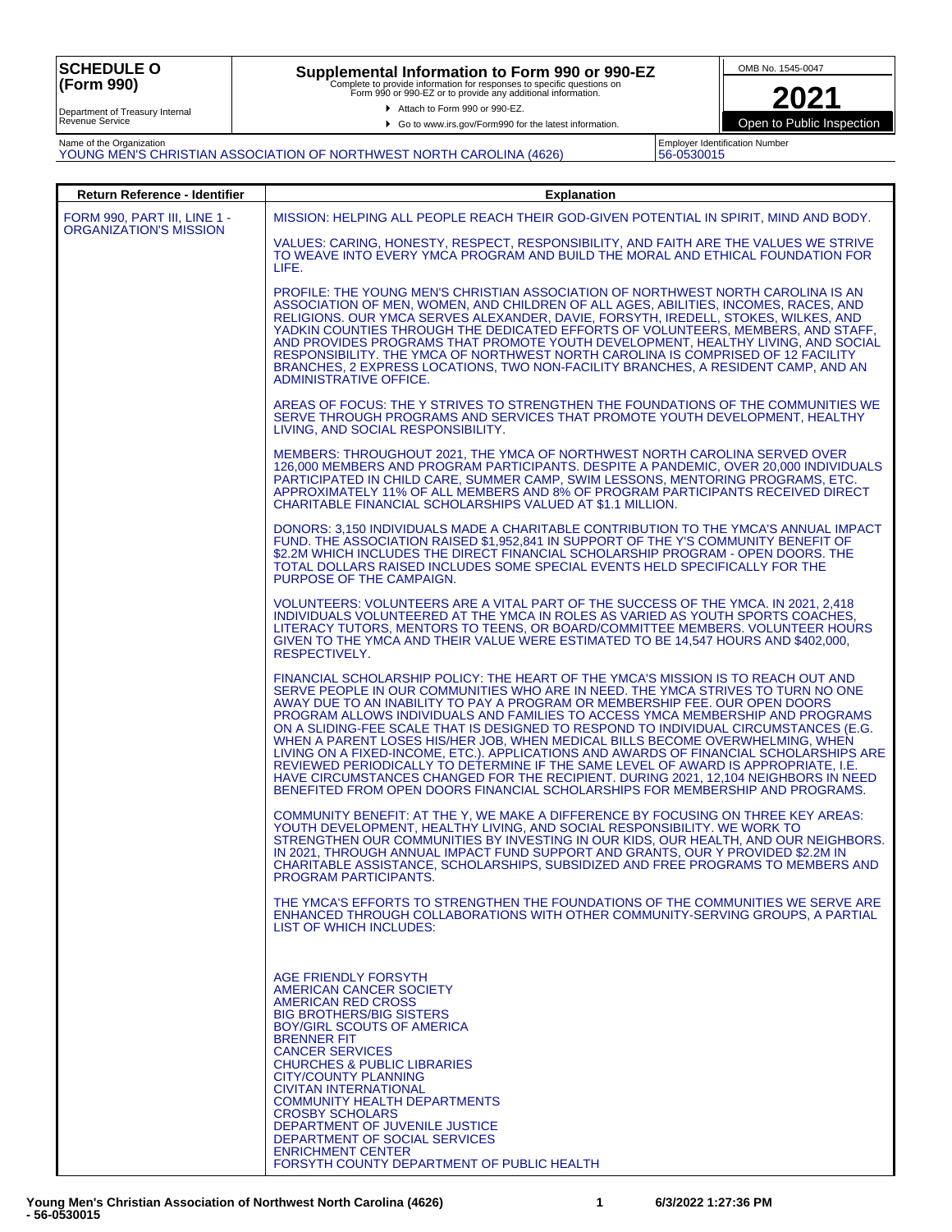## **Supplemental Information to Form 990 or 990-EZ**<br>Complete to provide information for responses to specific questions on<br>Form 990 or 990-EZ or to provide any additional information.

Attach to Form 990 or 990-EZ.

▶ Go to www.irs.gov/Form990 for the latest information.



Employer Identification Number 56-0530015

Open to Public Inspection

Department of Treasury Internal Revenue Service

Name of the Organization YOUNG MEN'S CHRISTIAN ASSOCIATION OF NORTHWEST NORTH CAROLINA (4626)

| Return Reference - Identifier                          | <b>Explanation</b>                                                                                                                                                                                                                                                                                                                                                                                                                                                                                                                                                                                                                                                                                                                                                                                                                                                      |
|--------------------------------------------------------|-------------------------------------------------------------------------------------------------------------------------------------------------------------------------------------------------------------------------------------------------------------------------------------------------------------------------------------------------------------------------------------------------------------------------------------------------------------------------------------------------------------------------------------------------------------------------------------------------------------------------------------------------------------------------------------------------------------------------------------------------------------------------------------------------------------------------------------------------------------------------|
| FORM 990, PART III, LINE 1 -<br>ORGANIZATION'S MISSION | MISSION: HELPING ALL PEOPLE REACH THEIR GOD-GIVEN POTENTIAL IN SPIRIT, MIND AND BODY.                                                                                                                                                                                                                                                                                                                                                                                                                                                                                                                                                                                                                                                                                                                                                                                   |
|                                                        | VALUES: CARING, HONESTY, RESPECT, RESPONSIBILITY, AND FAITH ARE THE VALUES WE STRIVE<br>TO WEAVE INTO EVERY YMCA PROGRAM AND BUILD THE MORAL AND ETHICAL FOUNDATION FOR<br>LIFE.                                                                                                                                                                                                                                                                                                                                                                                                                                                                                                                                                                                                                                                                                        |
|                                                        | PROFILE: THE YOUNG MEN'S CHRISTIAN ASSOCIATION OF NORTHWEST NORTH CAROLINA IS AN<br>ASSOCIATION OF MEN, WOMEN, AND CHILDREN OF ALL AGES, ABILITIES, INCOMES, RACES, AND<br>RELIGIONS. OUR YMCA SERVES ALEXANDER, DAVIE, FORSYTH, IREDELL, STOKES, WILKES, AND<br>YADKIN COUNTIES THROUGH THE DEDICATED EFFORTS OF VOLUNTEERS, MEMBERS, AND STAFF,<br>AND PROVIDES PROGRAMS THAT PROMOTE YOUTH DEVELOPMENT, HEALTHY LIVING, AND SOCIAL<br>RESPONSIBILITY. THE YMCA OF NORTHWEST NORTH CAROLINA IS COMPRISED OF 12 FACILITY<br>BRANCHES, 2 EXPRESS LOCATIONS, TWO NON-FACILITY BRANCHES, A RESIDENT CAMP, AND AN<br>ADMINISTRATIVE OFFICE.                                                                                                                                                                                                                                |
|                                                        | AREAS OF FOCUS: THE Y STRIVES TO STRENGTHEN THE FOUNDATIONS OF THE COMMUNITIES WE<br>SERVE THROUGH PROGRAMS AND SERVICES THAT PROMOTE YOUTH DEVELOPMENT, HEALTHY<br>LIVING, AND SOCIAL RESPONSIBILITY.                                                                                                                                                                                                                                                                                                                                                                                                                                                                                                                                                                                                                                                                  |
|                                                        | MEMBERS: THROUGHOUT 2021, THE YMCA OF NORTHWEST NORTH CAROLINA SERVED OVER<br>126,000 MEMBERS AND PROGRAM PARTICIPANTS. DESPITE A PANDEMIC, OVER 20,000 INDIVIDUALS<br>PARTICIPATED IN CHILD CARE, SUMMER CAMP, SWIM LESSONS, MENTORING PROGRAMS, ETC.<br>APPROXIMATELY 11% OF ALL MEMBERS AND 8% OF PROGRAM PARTICIPANTS RECEIVED DIRECT<br>CHARITABLE FINANCIAL SCHOLARSHIPS VALUED AT \$1.1 MILLION.                                                                                                                                                                                                                                                                                                                                                                                                                                                                 |
|                                                        | DONORS: 3,150 INDIVIDUALS MADE A CHARITABLE CONTRIBUTION TO THE YMCA'S ANNUAL IMPACT<br>FUND. THE ASSOCIATION RAISED \$1,952,841 IN SUPPORT OF THE Y'S COMMUNITY BENEFIT OF<br>\$2.2M WHICH INCLUDES THE DIRECT FINANCIAL SCHOLARSHIP PROGRAM - OPEN DOORS. THE<br>TOTAL DOLLARS RAISED INCLUDES SOME SPECIAL EVENTS HELD SPECIFICALLY FOR THE<br>PURPOSE OF THE CAMPAIGN.                                                                                                                                                                                                                                                                                                                                                                                                                                                                                              |
|                                                        | VOLUNTEERS: VOLUNTEERS ARE A VITAL PART OF THE SUCCESS OF THE YMCA. IN 2021, 2,418<br>INDIVIDUALS VOLUNTEERED AT THE YMCA IN ROLES AS VARIED AS YOUTH SPORTS COACHES.<br>LITERACY TUTORS, MENTORS TO TEENS, OR BOARD/COMMITTEE MEMBERS. VOLUNTEER HOURS<br>GIVEN TO THE YMCA AND THEIR VALUE WERE ESTIMATED TO BE 14,547 HOURS AND \$402,000.<br>RESPECTIVELY.                                                                                                                                                                                                                                                                                                                                                                                                                                                                                                          |
|                                                        | FINANCIAL SCHOLARSHIP POLICY: THE HEART OF THE YMCA'S MISSION IS TO REACH OUT AND<br>SERVE PEOPLE IN OUR COMMUNITIES WHO ARE IN NEED. THE YMCA STRIVES TO TURN NO ONE<br>AWAY DUE TO AN INABILITY TO PAY A PROGRAM OR MEMBERSHIP FEE. OUR OPEN DOORS<br>PROGRAM ALLOWS INDIVIDUALS AND FAMILIES TO ACCESS YMCA MEMBERSHIP AND PROGRAMS<br>ON A SLIDING-FEE SCALE THAT IS DESIGNED TO RESPOND TO INDIVIDUAL CIRCUMSTANCES (E.G.<br>WHEN A PARENT LOSES HIS/HER JOB, WHEN MEDICAL BILLS BECOME OVERWHELMING, WHEN<br>LIVING ON A FIXED-INCOME, ETC.). APPLICATIONS AND AWARDS OF FINANCIAL SCHOLARSHIPS ARE<br>REVIEWED PERIODICALLY TO DETERMINE IF THE SAME LEVEL OF AWARD IS APPROPRIATE, I.E.<br>HAVE CIRCUMSTANCES CHANGED FOR THE RECIPIENT. DURING 2021, 12,104 NEIGHBORS IN NEED<br>BENEFITED FROM OPEN DOORS FINANCIAL SCHOLARSHIPS FOR MEMBERSHIP AND PROGRAMS. |
|                                                        | COMMUNITY BENEFIT: AT THE Y. WE MAKE A DIFFERENCE BY FOCUSING ON THREE KEY AREAS:<br>YOUTH DEVELOPMENT, HEALTHY LIVING, AND SOCIAL RESPONSIBILITY. WE WORK TO<br>STRENGTHEN OUR COMMUNITIES BY INVESTING IN OUR KIDS, OUR HEALTH, AND OUR NEIGHBORS.<br>IN 2021, THROUGH ANNUAL IMPACT FUND SUPPORT AND GRANTS, OUR Y PROVIDED \$2.2M IN<br>CHARITABLE ASSISTANCE, SCHOLARSHIPS, SUBSIDIZED AND FREE PROGRAMS TO MEMBERS AND<br>PROGRAM PARTICIPANTS.                                                                                                                                                                                                                                                                                                                                                                                                                   |
|                                                        | THE YMCA'S EFFORTS TO STRENGTHEN THE FOUNDATIONS OF THE COMMUNITIES WE SERVE ARE<br>ENHANCED THROUGH COLLABORATIONS WITH OTHER COMMUNITY-SERVING GROUPS, A PARTIAL<br>LIST OF WHICH INCLUDES:                                                                                                                                                                                                                                                                                                                                                                                                                                                                                                                                                                                                                                                                           |
|                                                        | AGE FRIENDLY FORSYTH<br>AMERICAN CANCER SOCIETY<br><b>AMERICAN RED CROSS</b><br><b>BIG BROTHERS/BIG SISTERS</b><br>BOY/GIRL SCOUTS OF AMERICA<br><b>BRENNER FIT</b><br><b>CANCER SERVICES</b><br><b>CHURCHES &amp; PUBLIC LIBRARIES</b><br><b>CITY/COUNTY PLANNING</b><br><b>CIVITAN INTERNATIONAL</b><br><b>COMMUNITY HEALTH DEPARTMENTS</b><br><b>CROSBY SCHOLARS</b><br>DEPARTMENT OF JUVENILE JUSTICE<br>DEPARTMENT OF SOCIAL SERVICES<br><b>ENRICHMENT CENTER</b><br>FORSYTH COUNTY DEPARTMENT OF PUBLIC HEALTH                                                                                                                                                                                                                                                                                                                                                    |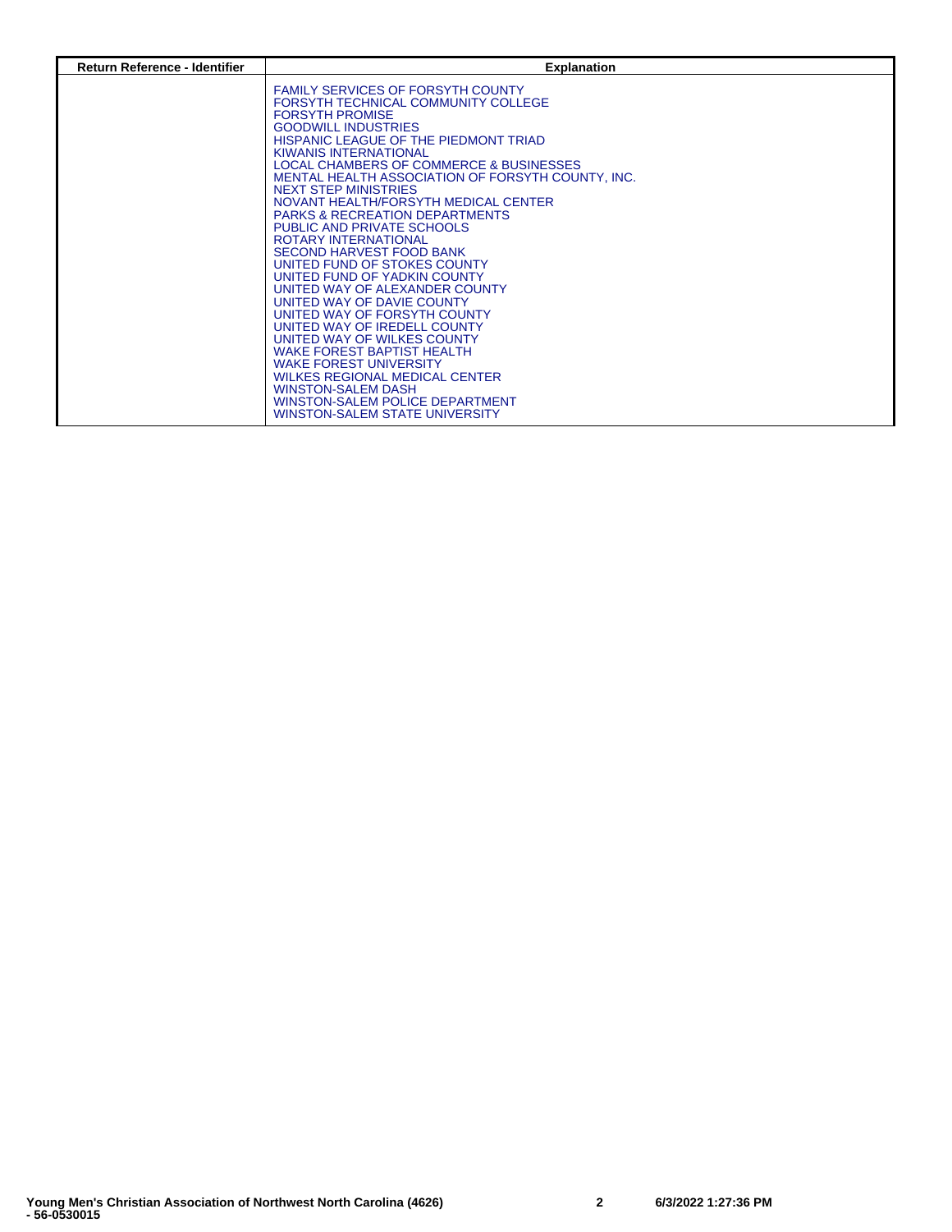| <b>Return Reference - Identifier</b> | <b>Explanation</b>                                                                                                                                                                                                                                                                                                                                                                                                                                                                                                                                                                                                                                                                                                                                                                                                                                                                                                                                                                   |
|--------------------------------------|--------------------------------------------------------------------------------------------------------------------------------------------------------------------------------------------------------------------------------------------------------------------------------------------------------------------------------------------------------------------------------------------------------------------------------------------------------------------------------------------------------------------------------------------------------------------------------------------------------------------------------------------------------------------------------------------------------------------------------------------------------------------------------------------------------------------------------------------------------------------------------------------------------------------------------------------------------------------------------------|
|                                      | <b>FAMILY SERVICES OF FORSYTH COUNTY</b><br>FORSYTH TECHNICAL COMMUNITY COLLEGE<br><b>FORSYTH PROMISE</b><br><b>GOODWILL INDUSTRIES</b><br>HISPANIC LEAGUE OF THE PIEDMONT TRIAD<br><b>KIWANIS INTERNATIONAL</b><br>LOCAL CHAMBERS OF COMMERCE & BUSINESSES<br>MENTAL HEALTH ASSOCIATION OF FORSYTH COUNTY, INC.<br><b>NEXT STEP MINISTRIES</b><br>NOVANT HEALTH/FORSYTH MEDICAL CENTER<br><b>PARKS &amp; RECREATION DEPARTMENTS</b><br>PUBLIC AND PRIVATE SCHOOLS<br><b>ROTARY INTERNATIONAL</b><br>SECOND HARVEST FOOD BANK<br>UNITED FUND OF STOKES COUNTY<br>UNITED FUND OF YADKIN COUNTY<br>UNITED WAY OF ALEXANDER COUNTY<br>UNITED WAY OF DAVIE COUNTY<br>UNITED WAY OF FORSYTH COUNTY<br>UNITED WAY OF IREDELL COUNTY<br>UNITED WAY OF WILKES COUNTY<br><b>WAKE FOREST BAPTIST HEALTH</b><br><b>WAKE FOREST UNIVERSITY</b><br><b>WILKES REGIONAL MEDICAL CENTER</b><br><b>WINSTON-SALEM DASH</b><br><b>WINSTON-SALEM POLICE DEPARTMENT</b><br>WINSTON-SALEM STATE UNIVERSITY |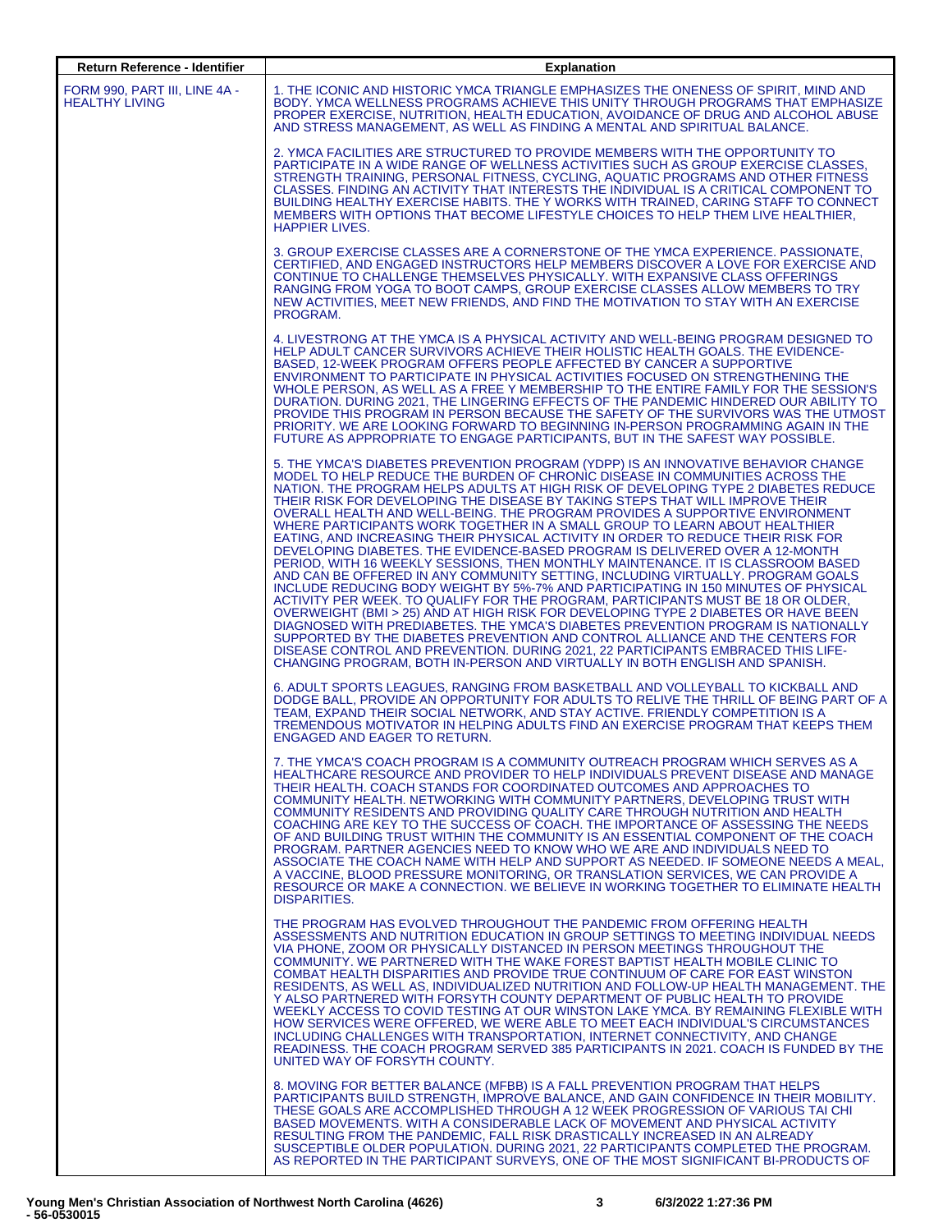| Return Reference - Identifier                          | <b>Explanation</b>                                                                                                                                                                                                                                                                                                                                                                                                                                                                                                                                                                                                                                                                                                                                                                                                                                                                                                                                                                                                                                                                                                                                                                                                                                                                                                                                                                                                                                        |
|--------------------------------------------------------|-----------------------------------------------------------------------------------------------------------------------------------------------------------------------------------------------------------------------------------------------------------------------------------------------------------------------------------------------------------------------------------------------------------------------------------------------------------------------------------------------------------------------------------------------------------------------------------------------------------------------------------------------------------------------------------------------------------------------------------------------------------------------------------------------------------------------------------------------------------------------------------------------------------------------------------------------------------------------------------------------------------------------------------------------------------------------------------------------------------------------------------------------------------------------------------------------------------------------------------------------------------------------------------------------------------------------------------------------------------------------------------------------------------------------------------------------------------|
| FORM 990, PART III, LINE 4A -<br><b>HEALTHY LIVING</b> | 1. THE ICONIC AND HISTORIC YMCA TRIANGLE EMPHASIZES THE ONENESS OF SPIRIT, MIND AND<br>BODY. YMCA WELLNESS PROGRAMS ACHIEVE THIS UNITY THROUGH PROGRAMS THAT EMPHASIZE<br>PROPER EXERCISE, NUTRITION, HEALTH EDUCATION, AVOIDANCE OF DRUG AND ALCOHOL ABUSE<br>AND STRESS MANAGEMENT, AS WELL AS FINDING A MENTAL AND SPIRITUAL BALANCE.                                                                                                                                                                                                                                                                                                                                                                                                                                                                                                                                                                                                                                                                                                                                                                                                                                                                                                                                                                                                                                                                                                                  |
|                                                        | 2. YMCA FACILITIES ARE STRUCTURED TO PROVIDE MEMBERS WITH THE OPPORTUNITY TO<br><b>PARTICIPATE IN A WIDE RANGE OF WELLNESS ACTIVITIES SUCH AS GROUP EXERCISE CLASSES.</b><br>STRENGTH TRAINING, PERSONAL FITNESS, CYCLING, AQUATIC PROGRAMS AND OTHER FITNESS<br>CLASSES. FINDING AN ACTIVITY THAT INTERESTS THE INDIVIDUAL IS A CRITICAL COMPONENT TO<br>BUILDING HEALTHY EXERCISE HABITS. THE Y WORKS WITH TRAINED, CARING STAFF TO CONNECT<br>MEMBERS WITH OPTIONS THAT BECOME LIFESTYLE CHOICES TO HELP THEM LIVE HEALTHIER.<br><b>HAPPIER LIVES.</b>                                                                                                                                                                                                                                                                                                                                                                                                                                                                                                                                                                                                                                                                                                                                                                                                                                                                                                 |
|                                                        | 3. GROUP EXERCISE CLASSES ARE A CORNERSTONE OF THE YMCA EXPERIENCE. PASSIONATE,<br>CERTIFIED, AND ENGAGED INSTRUCTORS HELP MEMBERS DISCOVER A LOVE FOR EXERCISE AND<br>CONTINUE TO CHALLENGE THEMSELVES PHYSICALLY. WITH EXPANSIVE CLASS OFFERINGS<br>RANGING FROM YOGA TO BOOT CAMPS, GROUP EXERCISE CLASSES ALLOW MEMBERS TO TRY<br>NEW ACTIVITIES, MEET NEW FRIENDS, AND FIND THE MOTIVATION TO STAY WITH AN EXERCISE<br>PROGRAM.                                                                                                                                                                                                                                                                                                                                                                                                                                                                                                                                                                                                                                                                                                                                                                                                                                                                                                                                                                                                                      |
|                                                        | 4. LIVESTRONG AT THE YMCA IS A PHYSICAL ACTIVITY AND WELL-BEING PROGRAM DESIGNED TO<br>HELP ADULT CANCER SURVIVORS ACHIEVE THEIR HOLISTIC HEALTH GOALS. THE EVIDENCE-<br>BASED, 12-WEEK PROGRAM OFFERS PEOPLE AFFECTED BY CANCER A SUPPORTIVE<br>ENVIRONMENT TO PARTICIPATE IN PHYSICAL ACTIVITIES FOCUSED ON STRENGTHENING THE<br>WHOLE PERSON, AS WELL AS A FREE Y MEMBERSHIP TO THE ENTIRE FAMILY FOR THE SESSION'S<br>DURATION. DURING 2021, THE LINGERING EFFECTS OF THE PANDEMIC HINDERED OUR ABILITY TO<br>PROVIDE THIS PROGRAM IN PERSON BECAUSE THE SAFETY OF THE SURVIVORS WAS THE UTMOST<br>PRIORITY. WE ARE LOOKING FORWARD TO BEGINNING IN-PERSON PROGRAMMING AGAIN IN THE<br>FUTURE AS APPROPRIATE TO ENGAGE PARTICIPANTS, BUT IN THE SAFEST WAY POSSIBLE.                                                                                                                                                                                                                                                                                                                                                                                                                                                                                                                                                                                                                                                                                  |
|                                                        | 5. THE YMCA'S DIABETES PREVENTION PROGRAM (YDPP) IS AN INNOVATIVE BEHAVIOR CHANGE<br>MODEL TO HELP REDUCE THE BURDEN OF CHRONIC DISEASE IN COMMUNITIES ACROSS THE<br>NATION. THE PROGRAM HELPS ADULTS AT HIGH RISK OF DEVELOPING TYPE 2 DIABETES REDUCE<br>THEIR RISK FOR DEVELOPING THE DISEASE BY TAKING STEPS THAT WILL IMPROVE THEIR<br>OVERALL HEALTH AND WELL-BEING. THE PROGRAM PROVIDES A SUPPORTIVE ENVIRONMENT<br>WHERE PARTICIPANTS WORK TOGETHER IN A SMALL GROUP TO LEARN ABOUT HEALTHIER<br>EATING, AND INCREASING THEIR PHYSICAL ACTIVITY IN ORDER TO REDUCE THEIR RISK FOR<br>DEVELOPING DIABETES. THE EVIDENCE-BASED PROGRAM IS DELIVERED OVER A 12-MONTH<br>PERIOD, WITH 16 WEEKLY SESSIONS, THEN MONTHLY MAINTENANCE. IT IS CLASSROOM BASED<br>AND CAN BE OFFERED IN ANY COMMUNITY SETTING, INCLUDING VIRTUALLY. PROGRAM GOALS<br>INCLUDE REDUCING BODY WEIGHT BY 5%-7% AND PARTICIPATING IN 150 MINUTES OF PHYSICAL<br>ACTIVITY PER WEEK. TO QUALIFY FOR THE PROGRAM, PARTICIPANTS MUST BE 18 OR OLDER,<br>OVERWEIGHT (BMI > 25) AND AT HIGH RISK FOR DEVELOPING TYPE 2 DIABETES OR HAVE BEEN<br>DIAGNOSED WITH PREDIABETES. THE YMCA'S DIABETES PREVENTION PROGRAM IS NATIONALLY<br>SUPPORTED BY THE DIABETES PREVENTION AND CONTROL ALLIANCE AND THE CENTERS FOR<br>DISEASE CONTROL AND PREVENTION. DURING 2021, 22 PARTICIPANTS EMBRACED THIS LIFE-<br>CHANGING PROGRAM, BOTH IN-PERSON AND VIRTUALLY IN BOTH ENGLISH AND SPANISH. |
|                                                        | 6. ADULT SPORTS LEAGUES, RANGING FROM BASKETBALL AND VOLLEYBALL TO KICKBALL AND<br>DODGE BALL, PROVIDE AN OPPORTUNITY FOR ADULTS TO RELIVE THE THRILL OF BEING PART OF A<br>TEAM, EXPAND THEIR SOCIAL NETWORK, AND STAY ACTIVE. FRIENDLY COMPETITION IS A<br>TREMENDOUS MOTIVATOR IN HELPING ADULTS FIND AN EXERCISE PROGRAM THAT KEEPS THEM<br><b>ENGAGED AND EAGER TO RETURN.</b>                                                                                                                                                                                                                                                                                                                                                                                                                                                                                                                                                                                                                                                                                                                                                                                                                                                                                                                                                                                                                                                                       |
|                                                        | 7. THE YMCA'S COACH PROGRAM IS A COMMUNITY OUTREACH PROGRAM WHICH SERVES AS A<br>HEALTHCARE RESOURCE AND PROVIDER TO HELP INDIVIDUALS PREVENT DISEASE AND MANAGE<br>THEIR HEALTH. COACH STANDS FOR COORDINATED OUTCOMES AND APPROACHES TO<br>COMMUNITY HEALTH. NETWORKING WITH COMMUNITY PARTNERS. DEVELOPING TRUST WITH<br>COMMUNITY RESIDENTS AND PROVIDING QUALITY CARE THROUGH NUTRITION AND HEALTH<br>COACHING ARE KEY TO THE SUCCESS OF COACH. THE IMPORTANCE OF ASSESSING THE NEEDS<br>OF AND BUILDING TRUST WITHIN THE COMMUNITY IS AN ESSENTIAL COMPONENT OF THE COACH<br>PROGRAM. PARTNER AGENCIES NEED TO KNOW WHO WE ARE AND INDIVIDUALS NEED TO<br>ASSOCIATE THE COACH NAME WITH HELP AND SUPPORT AS NEEDED. IF SOMEONE NEEDS A MEAL,<br>A VACCINE, BLOOD PRESSURE MONITORING, OR TRANSLATION SERVICES, WE CAN PROVIDE A<br>RESOURCE OR MAKE A CONNECTION. WE BELIEVE IN WORKING TOGETHER TO ELIMINATE HEALTH<br>DISPARITIES.                                                                                                                                                                                                                                                                                                                                                                                                                                                                                                                |
|                                                        | THE PROGRAM HAS EVOLVED THROUGHOUT THE PANDEMIC FROM OFFERING HEALTH<br>ASSESSMENTS AND NUTRITION EDUCATION IN GROUP SETTINGS TO MEETING INDIVIDUAL NEEDS<br>VIA PHONE, ZOOM OR PHYSICALLY DISTANCED IN PERSON MEETINGS THROUGHOUT THE<br>COMMUNITY. WE PARTNERED WITH THE WAKE FOREST BAPTIST HEALTH MOBILE CLINIC TO<br>COMBAT HEALTH DISPARITIES AND PROVIDE TRUE CONTINUUM OF CARE FOR EAST WINSTON<br>RESIDENTS, AS WELL AS, INDIVIDUALIZED NUTRITION AND FOLLOW-UP HEALTH MANAGEMENT. THE<br>Y ALSO PARTNERED WITH FORSYTH COUNTY DEPARTMENT OF PUBLIC HEALTH TO PROVIDE<br>WEEKLY ACCESS TO COVID TESTING AT OUR WINSTON LAKE YMCA. BY REMAINING FLEXIBLE WITH<br>HOW SERVICES WERE OFFERED, WE WERE ABLE TO MEET EACH INDIVIDUAL'S CIRCUMSTANCES<br>INCLUDING CHALLENGES WITH TRANSPORTATION, INTERNET CONNECTIVITY, AND CHANGE<br>READINESS. THE COACH PROGRAM SERVED 385 PARTICIPANTS IN 2021. COACH IS FUNDED BY THE<br>UNITED WAY OF FORSYTH COUNTY.                                                                                                                                                                                                                                                                                                                                                                                                                                                                                          |
|                                                        | 8. MOVING FOR BETTER BALANCE (MFBB) IS A FALL PREVENTION PROGRAM THAT HELPS<br><b>PARTICIPANTS BUILD STRENGTH. IMPROVE BALANCE, AND GAIN CONFIDENCE IN THEIR MOBILITY.</b><br>THESE GOALS ARE ACCOMPLISHED THROUGH A 12 WEEK PROGRESSION OF VARIOUS TAI CHI<br>BASED MOVEMENTS. WITH A CONSIDERABLE LACK OF MOVEMENT AND PHYSICAL ACTIVITY<br>RESULTING FROM THE PANDEMIC, FALL RISK DRASTICALLY INCREASED IN AN ALREADY<br>SUSCEPTIBLE OLDER POPULATION. DURING 2021, 22 PARTICIPANTS COMPLETED THE PROGRAM.<br>AS REPORTED IN THE PARTICIPANT SURVEYS, ONE OF THE MOST SIGNIFICANT BI-PRODUCTS OF                                                                                                                                                                                                                                                                                                                                                                                                                                                                                                                                                                                                                                                                                                                                                                                                                                                       |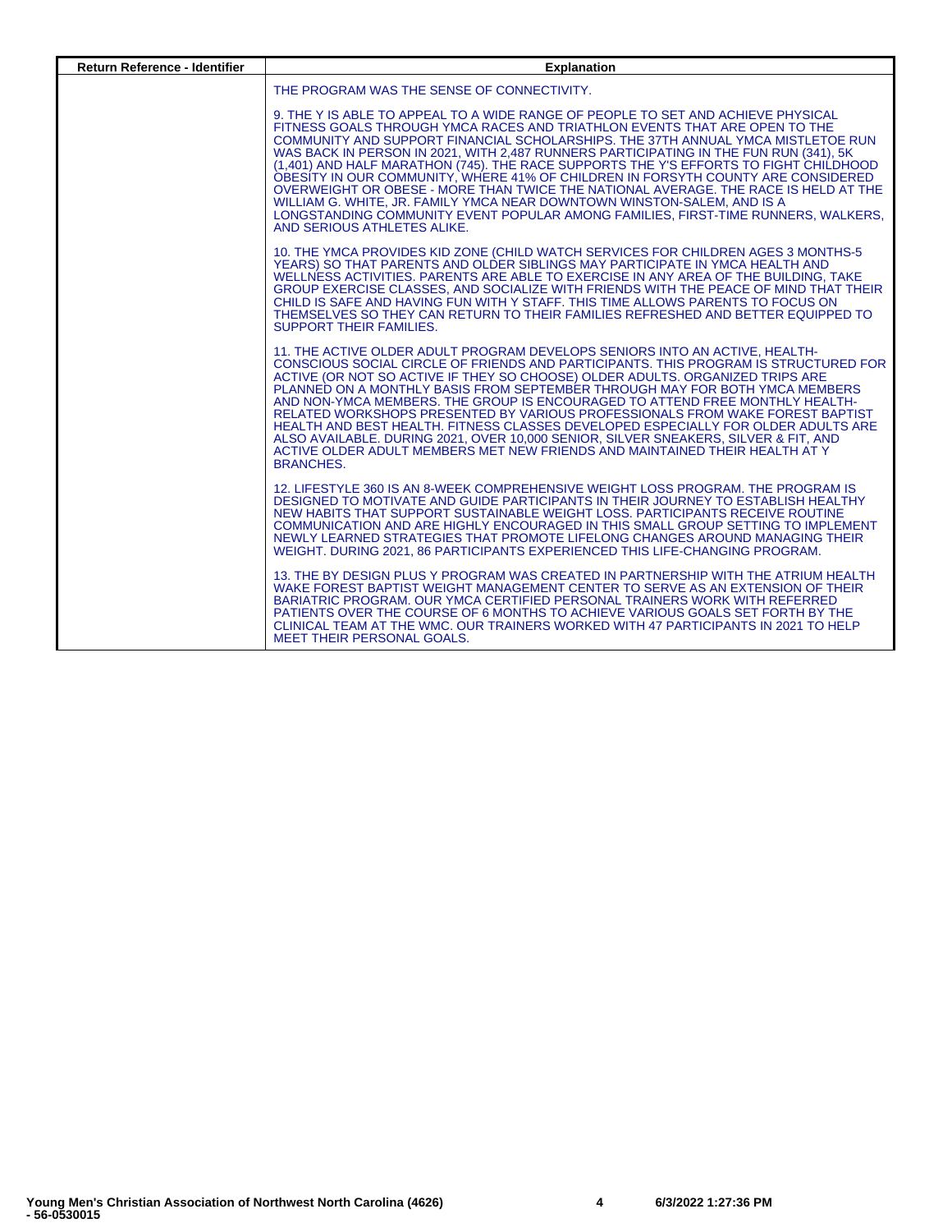| <b>Return Reference - Identifier</b> | <b>Explanation</b>                                                                                                                                                                                                                                                                                                                                                                                                                                                                                                                                                                                                                                                                                                                                                                                             |
|--------------------------------------|----------------------------------------------------------------------------------------------------------------------------------------------------------------------------------------------------------------------------------------------------------------------------------------------------------------------------------------------------------------------------------------------------------------------------------------------------------------------------------------------------------------------------------------------------------------------------------------------------------------------------------------------------------------------------------------------------------------------------------------------------------------------------------------------------------------|
|                                      | THE PROGRAM WAS THE SENSE OF CONNECTIVITY.                                                                                                                                                                                                                                                                                                                                                                                                                                                                                                                                                                                                                                                                                                                                                                     |
|                                      | 9. THE Y IS ABLE TO APPEAL TO A WIDE RANGE OF PEOPLE TO SET AND ACHIEVE PHYSICAL<br>FITNESS GOALS THROUGH YMCA RACES AND TRIATHLON EVENTS THAT ARE OPEN TO THE<br>COMMUNITY AND SUPPORT FINANCIAL SCHOLARSHIPS. THE 37TH ANNUAL YMCA MISTLETOE RUN<br>WAS BACK IN PERSON IN 2021, WITH 2,487 RUNNERS PARTICIPATING IN THE FUN RUN (341), 5K<br>(1,401) AND HALF MARATHON (745). THE RACE SUPPORTS THE Y'S EFFORTS TO FIGHT CHILDHOOD<br>OBESITY IN OUR COMMUNITY, WHERE 41% OF CHILDREN IN FORSYTH COUNTY ARE CONSIDERED<br>OVERWEIGHT OR OBESE - MORE THAN TWICE THE NATIONAL AVERAGE. THE RACE IS HELD AT THE<br>WILLIAM G. WHITE, JR. FAMILY YMCA NEAR DOWNTOWN WINSTON-SALEM, AND IS A<br>LONGSTANDING COMMUNITY EVENT POPULAR AMONG FAMILIES, FIRST-TIME RUNNERS, WALKERS,<br>AND SERIOUS ATHLETES ALIKE. |
|                                      | 10. THE YMCA PROVIDES KID ZONE (CHILD WATCH SERVICES FOR CHILDREN AGES 3 MONTHS-5<br>YEARS) SO THAT PARENTS AND OLDER SIBLINGS MAY PARTICIPATE IN YMCA HEALTH AND<br>WELLNESS ACTIVITIES. PARENTS ARE ABLE TO EXERCISE IN ANY AREA OF THE BUILDING. TAKE<br>GROUP EXERCISE CLASSES, AND SOCIALIZE WITH FRIENDS WITH THE PEACE OF MIND THAT THEIR<br>CHILD IS SAFE AND HAVING FUN WITH Y STAFF. THIS TIME ALLOWS PARENTS TO FOCUS ON<br>THEMSELVES SO THEY CAN RETURN TO THEIR FAMILIES REFRESHED AND BETTER EQUIPPED TO<br><b>SUPPORT THEIR FAMILIES.</b>                                                                                                                                                                                                                                                      |
|                                      | 11. THE ACTIVE OLDER ADULT PROGRAM DEVELOPS SENIORS INTO AN ACTIVE. HEALTH-<br>CONSCIOUS SOCIAL CIRCLE OF FRIENDS AND PARTICIPANTS. THIS PROGRAM IS STRUCTURED FOR<br>ACTIVE (OR NOT SO ACTIVE IF THEY SO CHOOSE) OLDER ADULTS. ORGANIZED TRIPS ARE<br>PLANNED ON A MONTHLY BASIS FROM SEPTEMBER THROUGH MAY FOR BOTH YMCA MEMBERS<br>AND NON-YMCA MEMBERS. THE GROUP IS ENCOURAGED TO ATTEND FREE MONTHLY HEALTH-<br>RELATED WORKSHOPS PRESENTED BY VARIOUS PROFESSIONALS FROM WAKE FOREST BAPTIST<br>HEALTH AND BEST HEALTH. FITNESS CLASSES DEVELOPED ESPECIALLY FOR OLDER ADULTS ARE<br>ALSO AVAILABLE. DURING 2021, OVER 10,000 SENIOR, SILVER SNEAKERS, SILVER & FIT, AND<br>ACTIVE OLDER ADULT MEMBERS MET NEW FRIENDS AND MAINTAINED THEIR HEALTH AT Y<br><b>BRANCHES.</b>                             |
|                                      | 12. LIFESTYLE 360 IS AN 8-WEEK COMPREHENSIVE WEIGHT LOSS PROGRAM. THE PROGRAM IS<br>DESIGNED TO MOTIVATE AND GUIDE PARTICIPANTS IN THEIR JOURNEY TO ESTABLISH HEALTHY<br>NEW HABITS THAT SUPPORT SUSTAINABLE WEIGHT LOSS, PARTICIPANTS RECEIVE ROUTINE<br>COMMUNICATION AND ARE HIGHLY ENCOURAGED IN THIS SMALL GROUP SETTING TO IMPLEMENT<br>NEWLY LEARNED STRATEGIES THAT PROMOTE LIFELONG CHANGES AROUND MANAGING THEIR<br>WEIGHT, DURING 2021, 86 PARTICIPANTS EXPERIENCED THIS LIFE-CHANGING PROGRAM.                                                                                                                                                                                                                                                                                                     |
|                                      | 13. THE BY DESIGN PLUS Y PROGRAM WAS CREATED IN PARTNERSHIP WITH THE ATRIUM HEALTH<br>WAKE FOREST BAPTIST WEIGHT MANAGEMENT CENTER TO SERVE AS AN EXTENSION OF THEIR<br>BARIATRIC PROGRAM. OUR YMCA CERTIFIED PERSONAL TRAINERS WORK WITH REFERRED<br>PATIENTS OVER THE COURSE OF 6 MONTHS TO ACHIEVE VARIOUS GOALS SET FORTH BY THE<br>CLINICAL TEAM AT THE WMC. OUR TRAINERS WORKED WITH 47 PARTICIPANTS IN 2021 TO HELP<br><b>MEET THEIR PERSONAL GOALS.</b>                                                                                                                                                                                                                                                                                                                                                |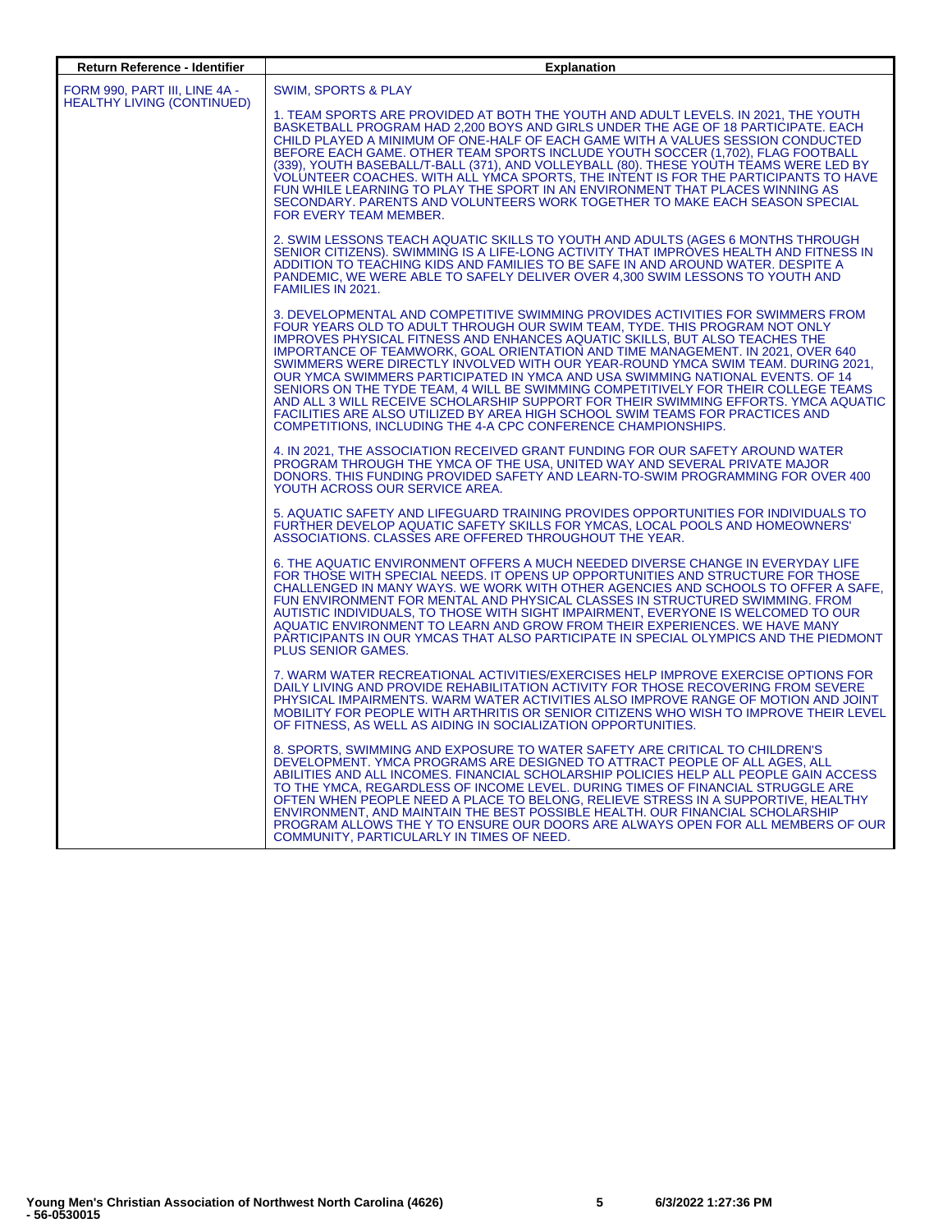| <b>Return Reference - Identifier</b> | <b>Explanation</b>                                                                                                                                                                                                                                                                                                                                                                                                                                                                                                                                                                                                                                                                                                                                                                                                                   |
|--------------------------------------|--------------------------------------------------------------------------------------------------------------------------------------------------------------------------------------------------------------------------------------------------------------------------------------------------------------------------------------------------------------------------------------------------------------------------------------------------------------------------------------------------------------------------------------------------------------------------------------------------------------------------------------------------------------------------------------------------------------------------------------------------------------------------------------------------------------------------------------|
| FORM 990, PART III, LINE 4A -        | SWIM, SPORTS & PLAY                                                                                                                                                                                                                                                                                                                                                                                                                                                                                                                                                                                                                                                                                                                                                                                                                  |
| HEALTHY LIVING (CONTINUED)           | 1. TEAM SPORTS ARE PROVIDED AT BOTH THE YOUTH AND ADULT LEVELS. IN 2021, THE YOUTH<br>BASKETBALL PROGRAM HAD 2,200 BOYS AND GIRLS UNDER THE AGE OF 18 PARTICIPATE. EACH<br>CHILD PLAYED A MINIMUM OF ONE-HALF OF EACH GAME WITH A VALUES SESSION CONDUCTED<br>BEFORE EACH GAME. OTHER TEAM SPORTS INCLUDE YOUTH SOCCER (1,702), FLAG FOOTBALL<br>(339), YOUTH BASEBALL/T-BALL (371), AND VOLLEYBALL (80). THESE YOUTH TEAMS WERE LED BY<br>VOLUNTEER COACHES. WITH ALL YMCA SPORTS, THE INTENT IS FOR THE PARTICIPANTS TO HAVE<br>FUN WHILE LEARNING TO PLAY THE SPORT IN AN ENVIRONMENT THAT PLACES WINNING AS<br>SECONDARY. PARENTS AND VOLUNTEERS WORK TOGETHER TO MAKE EACH SEASON SPECIAL<br>FOR EVERY TEAM MEMBER.                                                                                                             |
|                                      | 2. SWIM LESSONS TEACH AQUATIC SKILLS TO YOUTH AND ADULTS (AGES 6 MONTHS THROUGH<br>SENIOR CITIZENS). SWIMMING IS A LIFE-LONG ACTIVITY THAT IMPROVES HEALTH AND FITNESS IN<br>ADDITION TO TEACHING KIDS AND FAMILIES TO BE SAFE IN AND AROUND WATER. DESPITE A<br>PANDEMIC, WE WERE ABLE TO SAFELY DELIVER OVER 4,300 SWIM LESSONS TO YOUTH AND<br>FAMILIES IN 2021.                                                                                                                                                                                                                                                                                                                                                                                                                                                                  |
|                                      | 3. DEVELOPMENTAL AND COMPETITIVE SWIMMING PROVIDES ACTIVITIES FOR SWIMMERS FROM<br>FOUR YEARS OLD TO ADULT THROUGH OUR SWIM TEAM, TYDE. THIS PROGRAM NOT ONLY<br>IMPROVES PHYSICAL FITNESS AND ENHANCES AQUATIC SKILLS, BUT ALSO TEACHES THE<br>IMPORTANCE OF TEAMWORK, GOAL ORIENTATION AND TIME MANAGEMENT. IN 2021, OVER 640<br>SWIMMERS WERE DIRECTLY INVOLVED WITH OUR YEAR-ROUND YMCA SWIM TEAM. DURING 2021,<br>OUR YMCA SWIMMERS PARTICIPATED IN YMCA AND USA SWIMMING NATIONAL EVENTS. OF 14<br>SENIORS ON THE TYDE TEAM, 4 WILL BE SWIMMING COMPETITIVELY FOR THEIR COLLEGE TEAMS<br>AND ALL 3 WILL RECEIVE SCHOLARSHIP SUPPORT FOR THEIR SWIMMING EFFORTS. YMCA AQUATIC<br>FACILITIES ARE ALSO UTILIZED BY AREA HIGH SCHOOL SWIM TEAMS FOR PRACTICES AND<br>COMPETITIONS, INCLUDING THE 4-A CPC CONFERENCE CHAMPIONSHIPS. |
|                                      | 4. IN 2021, THE ASSOCIATION RECEIVED GRANT FUNDING FOR OUR SAFETY AROUND WATER<br>PROGRAM THROUGH THE YMCA OF THE USA. UNITED WAY AND SEVERAL PRIVATE MAJOR<br>DONORS. THIS FUNDING PROVIDED SAFETY AND LEARN-TO-SWIM PROGRAMMING FOR OVER 400<br>YOUTH ACROSS OUR SERVICE AREA.                                                                                                                                                                                                                                                                                                                                                                                                                                                                                                                                                     |
|                                      | 5. AQUATIC SAFETY AND LIFEGUARD TRAINING PROVIDES OPPORTUNITIES FOR INDIVIDUALS TO<br>FURTHER DEVELOP AQUATIC SAFETY SKILLS FOR YMCAS, LOCAL POOLS AND HOMEOWNERS'<br>ASSOCIATIONS, CLASSES ARE OFFERED THROUGHOUT THE YEAR.                                                                                                                                                                                                                                                                                                                                                                                                                                                                                                                                                                                                         |
|                                      | 6. THE AQUATIC ENVIRONMENT OFFERS A MUCH NEEDED DIVERSE CHANGE IN EVERYDAY LIFE<br>FOR THOSE WITH SPECIAL NEEDS. IT OPENS UP OPPORTUNITIES AND STRUCTURE FOR THOSE<br>CHALLENGED IN MANY WAYS. WE WORK WITH OTHER AGENCIES AND SCHOOLS TO OFFER A SAFE.<br>FUN ENVIRONMENT FOR MENTAL AND PHYSICAL CLASSES IN STRUCTURED SWIMMING. FROM<br>AUTISTIC INDIVIDUALS, TO THOSE WITH SIGHT IMPAIRMENT, EVERYONE IS WELCOMED TO OUR<br>AQUATIC ENVIRONMENT TO LEARN AND GROW FROM THEIR EXPERIENCES. WE HAVE MANY<br>PARTICIPANTS IN OUR YMCAS THAT ALSO PARTICIPATE IN SPECIAL OLYMPICS AND THE PIEDMONT<br><b>PLUS SENIOR GAMES.</b>                                                                                                                                                                                                      |
|                                      | 7. WARM WATER RECREATIONAL ACTIVITIES/EXERCISES HELP IMPROVE EXERCISE OPTIONS FOR<br>DAILY LIVING AND PROVIDE REHABILITATION ACTIVITY FOR THOSE RECOVERING FROM SEVERE<br>PHYSICAL IMPAIRMENTS. WARM WATER ACTIVITIES ALSO IMPROVE RANGE OF MOTION AND JOINT<br>MOBILITY FOR PEOPLE WITH ARTHRITIS OR SENIOR CITIZENS WHO WISH TO IMPROVE THEIR LEVEL<br>OF FITNESS. AS WELL AS AIDING IN SOCIALIZATION OPPORTUNITIES.                                                                                                                                                                                                                                                                                                                                                                                                               |
|                                      | 8. SPORTS, SWIMMING AND EXPOSURE TO WATER SAFETY ARE CRITICAL TO CHILDREN'S<br>DEVELOPMENT. YMCA PROGRAMS ARE DESIGNED TO ATTRACT PEOPLE OF ALL AGES, ALL<br>ABILITIES AND ALL INCOMES. FINANCIAL SCHOLARSHIP POLICIES HELP ALL PEOPLE GAIN ACCESS<br>TO THE YMCA, REGARDLESS OF INCOME LEVEL. DURING TIMES OF FINANCIAL STRUGGLE ARE<br>OFTEN WHEN PEOPLE NEED A PLACE TO BELONG, RELIEVE STRESS IN A SUPPORTIVE, HEALTHY<br>ENVIRONMENT, AND MAINTAIN THE BEST POSSIBLE HEALTH, OUR FINANCIAL SCHOLARSHIP<br>PROGRAM ALLOWS THE Y TO ENSURE OUR DOORS ARE ALWAYS OPEN FOR ALL MEMBERS OF OUR<br>COMMUNITY, PARTICULARLY IN TIMES OF NEED.                                                                                                                                                                                          |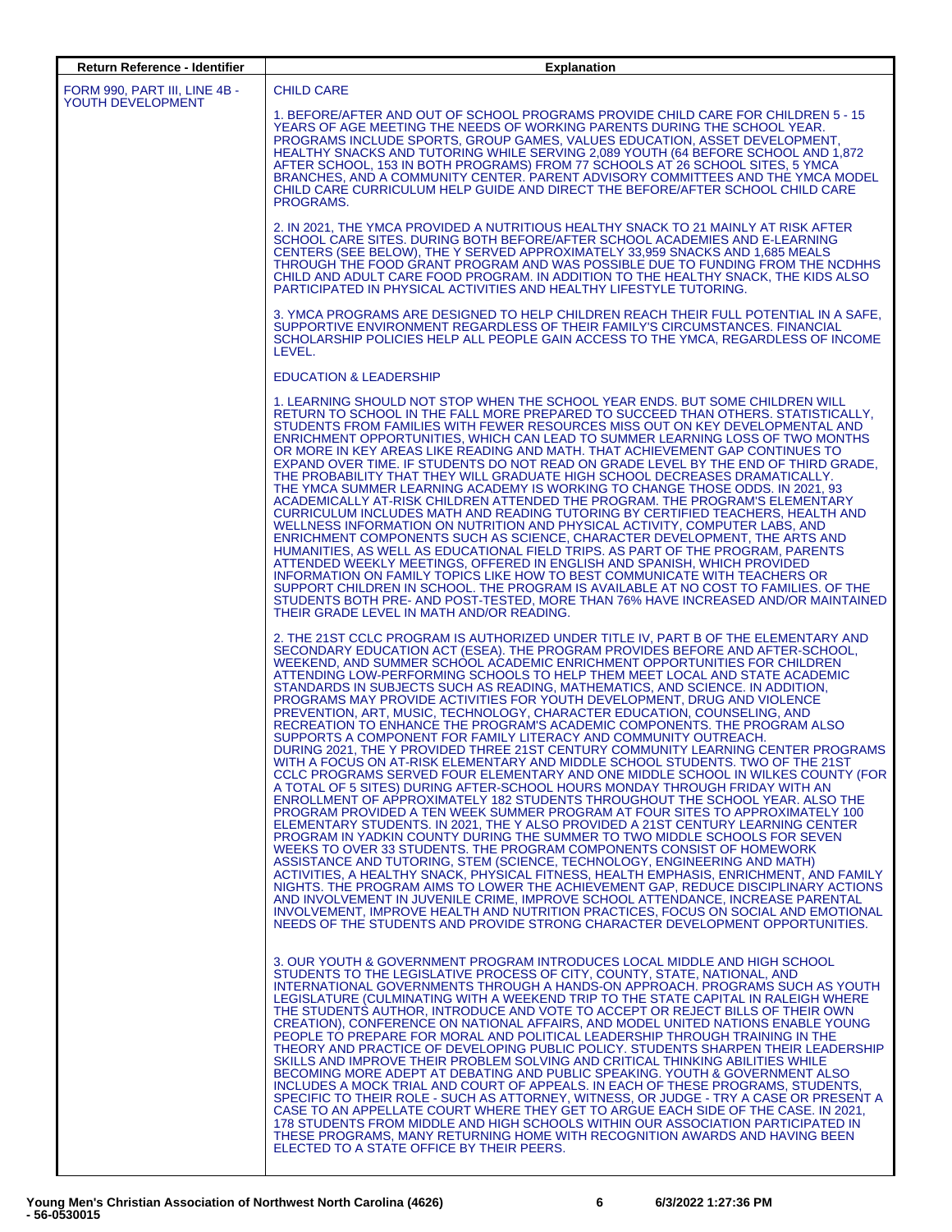| <b>Return Reference - Identifier</b>               | <b>Explanation</b>                                                                                                                                                                                                                                                                                                                                                                                                                                                                                                                                                                                                                                                                                                                                                                                                                                                                                                                                                                                                                                                                                                                                                                                                                                                                                                                                                                                                                                                                                                                                                                                                                                                                                                                                                                                                                                                                                                                                                                                       |
|----------------------------------------------------|----------------------------------------------------------------------------------------------------------------------------------------------------------------------------------------------------------------------------------------------------------------------------------------------------------------------------------------------------------------------------------------------------------------------------------------------------------------------------------------------------------------------------------------------------------------------------------------------------------------------------------------------------------------------------------------------------------------------------------------------------------------------------------------------------------------------------------------------------------------------------------------------------------------------------------------------------------------------------------------------------------------------------------------------------------------------------------------------------------------------------------------------------------------------------------------------------------------------------------------------------------------------------------------------------------------------------------------------------------------------------------------------------------------------------------------------------------------------------------------------------------------------------------------------------------------------------------------------------------------------------------------------------------------------------------------------------------------------------------------------------------------------------------------------------------------------------------------------------------------------------------------------------------------------------------------------------------------------------------------------------------|
| FORM 990, PART III, LINE 4B -<br>YOUTH DEVELOPMENT | <b>CHILD CARE</b><br>1. BEFORE/AFTER AND OUT OF SCHOOL PROGRAMS PROVIDE CHILD CARE FOR CHILDREN 5 - 15<br>YEARS OF AGE MEETING THE NEEDS OF WORKING PARENTS DURING THE SCHOOL YEAR.<br>PROGRAMS INCLUDE SPORTS, GROUP GAMES, VALUES EDUCATION, ASSET DEVELOPMENT,<br>HEALTHY SNACKS AND TUTORING WHILE SERVING 2,089 YOUTH (64 BEFORE SCHOOL AND 1,872<br>AFTER SCHOOL, 153 IN BOTH PROGRAMS) FROM 77 SCHOOLS AT 26 SCHOOL SITES, 5 YMCA<br>BRANCHES, AND A COMMUNITY CENTER. PARENT ADVISORY COMMITTEES AND THE YMCA MODEL<br>CHILD CARE CURRICULUM HELP GUIDE AND DIRECT THE BEFORE/AFTER SCHOOL CHILD CARE<br>PROGRAMS.                                                                                                                                                                                                                                                                                                                                                                                                                                                                                                                                                                                                                                                                                                                                                                                                                                                                                                                                                                                                                                                                                                                                                                                                                                                                                                                                                                               |
|                                                    | 2. IN 2021. THE YMCA PROVIDED A NUTRITIOUS HEALTHY SNACK TO 21 MAINLY AT RISK AFTER<br>SCHOOL CARE SITES. DURING BOTH BEFORE/AFTER SCHOOL ACADEMIES AND E-LEARNING<br>CENTERS (SEE BELOW), THE Y SERVED APPROXIMATELY 33,959 SNACKS AND 1,685 MEALS<br>THROUGH THE FOOD GRANT PROGRAM AND WAS POSSIBLE DUE TO FUNDING FROM THE NCDHHS<br>CHILD AND ADULT CARE FOOD PROGRAM. IN ADDITION TO THE HEALTHY SNACK, THE KIDS ALSO<br>PARTICIPATED IN PHYSICAL ACTIVITIES AND HEALTHY LIFESTYLE TUTORING.                                                                                                                                                                                                                                                                                                                                                                                                                                                                                                                                                                                                                                                                                                                                                                                                                                                                                                                                                                                                                                                                                                                                                                                                                                                                                                                                                                                                                                                                                                       |
|                                                    | 3. YMCA PROGRAMS ARE DESIGNED TO HELP CHILDREN REACH THEIR FULL POTENTIAL IN A SAFE,<br>SUPPORTIVE ENVIRONMENT REGARDLESS OF THEIR FAMILY'S CIRCUMSTANCES. FINANCIAL<br>SCHOLARSHIP POLICIES HELP ALL PEOPLE GAIN ACCESS TO THE YMCA, REGARDLESS OF INCOME<br>LEVEL.                                                                                                                                                                                                                                                                                                                                                                                                                                                                                                                                                                                                                                                                                                                                                                                                                                                                                                                                                                                                                                                                                                                                                                                                                                                                                                                                                                                                                                                                                                                                                                                                                                                                                                                                     |
|                                                    | <b>EDUCATION &amp; LEADERSHIP</b>                                                                                                                                                                                                                                                                                                                                                                                                                                                                                                                                                                                                                                                                                                                                                                                                                                                                                                                                                                                                                                                                                                                                                                                                                                                                                                                                                                                                                                                                                                                                                                                                                                                                                                                                                                                                                                                                                                                                                                        |
|                                                    | 1. LEARNING SHOULD NOT STOP WHEN THE SCHOOL YEAR ENDS. BUT SOME CHILDREN WILL<br>RETURN TO SCHOOL IN THE FALL MORE PREPARED TO SUCCEED THAN OTHERS. STATISTICALLY.<br>STUDENTS FROM FAMILIES WITH FEWER RESOURCES MISS OUT ON KEY DEVELOPMENTAL AND<br>ENRICHMENT OPPORTUNITIES. WHICH CAN LEAD TO SUMMER LEARNING LOSS OF TWO MONTHS<br>OR MORE IN KEY AREAS LIKE READING AND MATH. THAT ACHIEVEMENT GAP CONTINUES TO<br>EXPAND OVER TIME. IF STUDENTS DO NOT READ ON GRADE LEVEL BY THE END OF THIRD GRADE,<br>THE PROBABILITY THAT THEY WILL GRADUATE HIGH SCHOOL DECREASES DRAMATICALLY.<br>THE YMCA SUMMER LEARNING ACADEMY IS WORKING TO CHANGE THOSE ODDS. IN 2021, 93<br>ACADEMICALLY AT-RISK CHILDREN ATTENDED THE PROGRAM. THE PROGRAM'S ELEMENTARY<br>CURRICULUM INCLUDES MATH AND READING TUTORING BY CERTIFIED TEACHERS, HEALTH AND<br>WELLNESS INFORMATION ON NUTRITION AND PHYSICAL ACTIVITY, COMPUTER LABS, AND<br>ENRICHMENT COMPONENTS SUCH AS SCIENCE, CHARACTER DEVELOPMENT, THE ARTS AND<br>HUMANITIES, AS WELL AS EDUCATIONAL FIELD TRIPS. AS PART OF THE PROGRAM, PARENTS<br>ATTENDED WEEKLY MEETINGS, OFFERED IN ENGLISH AND SPANISH, WHICH PROVIDED<br>INFORMATION ON FAMILY TOPICS LIKE HOW TO BEST COMMUNICATE WITH TEACHERS OR<br>SUPPORT CHILDREN IN SCHOOL. THE PROGRAM IS AVAILABLE AT NO COST TO FAMILIES. OF THE<br>STUDENTS BOTH PRE- AND POST-TESTED, MORE THAN 76% HAVE INCREASED AND/OR MAINTAINED<br>THEIR GRADE LEVEL IN MATH AND/OR READING.                                                                                                                                                                                                                                                                                                                                                                                                                                                                                                                     |
|                                                    | 2. THE 21ST CCLC PROGRAM IS AUTHORIZED UNDER TITLE IV, PART B OF THE ELEMENTARY AND<br>SECONDARY EDUCATION ACT (ESEA). THE PROGRAM PROVIDES BEFORE AND AFTER-SCHOOL,<br>WEEKEND, AND SUMMER SCHOOL ACADEMIC ENRICHMENT OPPORTUNITIES FOR CHILDREN<br>ATTENDING LOW-PERFORMING SCHOOLS TO HELP THEM MEET LOCAL AND STATE ACADEMIC<br>STANDARDS IN SUBJECTS SUCH AS READING, MATHEMATICS, AND SCIENCE. IN ADDITION,<br>PROGRAMS MAY PROVIDE ACTIVITIES FOR YOUTH DEVELOPMENT, DRUG AND VIOLENCE<br>PREVENTION, ART, MUSIC, TECHNOLOGY, CHARACTER EDUCATION, COUNSELING, AND<br>RECREATION TO ENHANCE THE PROGRAM'S ACADEMIC COMPONENTS. THE PROGRAM ALSO<br>SUPPORTS A COMPONENT FOR FAMILY LITERACY AND COMMUNITY OUTREACH.<br>DURING 2021, THE Y PROVIDED THREE 21ST CENTURY COMMUNITY LEARNING CENTER PROGRAMS<br>WITH A FOCUS ON AT-RISK ELEMENTARY AND MIDDLE SCHOOL STUDENTS. TWO OF THE 21ST<br>CCLC PROGRAMS SERVED FOUR ELEMENTARY AND ONE MIDDLE SCHOOL IN WILKES COUNTY (FOR<br>A TOTAL OF 5 SITES) DURING AFTER-SCHOOL HOURS MONDAY THROUGH FRIDAY WITH AN<br>ENROLLMENT OF APPROXIMATELY 182 STUDENTS THROUGHOUT THE SCHOOL YEAR. ALSO THE<br>PROGRAM PROVIDED A TEN WEEK SUMMER PROGRAM AT FOUR SITES TO APPROXIMATELY 100<br>ELEMENTARY STUDENTS. IN 2021, THE Y ALSO PROVIDED A 21ST CENTURY LEARNING CENTER<br>PROGRAM IN YADKIN COUNTY DURING THE SUMMER TO TWO MIDDLE SCHOOLS FOR SEVEN<br>WEEKS TO OVER 33 STUDENTS. THE PROGRAM COMPONENTS CONSIST OF HOMEWORK<br>ASSISTANCE AND TUTORING, STEM (SCIENCE, TECHNOLOGY, ENGINEERING AND MATH)<br>ACTIVITIES, A HEALTHY SNACK, PHYSICAL FITNESS, HEALTH EMPHASIS, ENRICHMENT, AND FAMILY<br>NIGHTS. THE PROGRAM AIMS TO LOWER THE ACHIEVEMENT GAP, REDUCE DISCIPLINARY ACTIONS<br>AND INVOLVEMENT IN JUVENILE CRIME, IMPROVE SCHOOL ATTENDANCE, INCREASE PARENTAL<br>INVOLVEMENT, IMPROVE HEALTH AND NUTRITION PRACTICES, FOCUS ON SOCIAL AND EMOTIONAL<br>NEEDS OF THE STUDENTS AND PROVIDE STRONG CHARACTER DEVELOPMENT OPPORTUNITIES. |
|                                                    | 3. OUR YOUTH & GOVERNMENT PROGRAM INTRODUCES LOCAL MIDDLE AND HIGH SCHOOL<br>STUDENTS TO THE LEGISLATIVE PROCESS OF CITY, COUNTY, STATE, NATIONAL, AND<br>INTERNATIONAL GOVERNMENTS THROUGH A HANDS-ON APPROACH. PROGRAMS SUCH AS YOUTH<br>LEGISLATURE (CULMINATING WITH A WEEKEND TRIP TO THE STATE CAPITAL IN RALEIGH WHERE<br>THE STUDENTS AUTHOR, INTRODUCE AND VOTE TO ACCEPT OR REJECT BILLS OF THEIR OWN<br>CREATION), CONFERENCE ON NATIONAL AFFAIRS, AND MODEL UNITED NATIONS ENABLE YOUNG<br>PEOPLE TO PREPARE FOR MORAL AND POLITICAL LEADERSHIP THROUGH TRAINING IN THE<br>THEORY AND PRACTICE OF DEVELOPING PUBLIC POLICY. STUDENTS SHARPEN THEIR LEADERSHIP<br>SKILLS AND IMPROVE THEIR PROBLEM SOLVING AND CRITICAL THINKING ABILITIES WHILE<br>BECOMING MORE ADEPT AT DEBATING AND PUBLIC SPEAKING. YOUTH & GOVERNMENT ALSO<br>INCLUDES A MOCK TRIAL AND COURT OF APPEALS. IN EACH OF THESE PROGRAMS, STUDENTS,<br>SPECIFIC TO THEIR ROLE - SUCH AS ATTORNEY, WITNESS, OR JUDGE - TRY A CASE OR PRESENT A<br>CASE TO AN APPELLATE COURT WHERE THEY GET TO ARGUE EACH SIDE OF THE CASE. IN 2021,<br>178 STUDENTS FROM MIDDLE AND HIGH SCHOOLS WITHIN OUR ASSOCIATION PARTICIPATED IN<br>THESE PROGRAMS, MANY RETURNING HOME WITH RECOGNITION AWARDS AND HAVING BEEN<br>ELECTED TO A STATE OFFICE BY THEIR PEERS.                                                                                                                                                                                                                                                                                                                                                                                                                                                                                                                                                                                                                                                                          |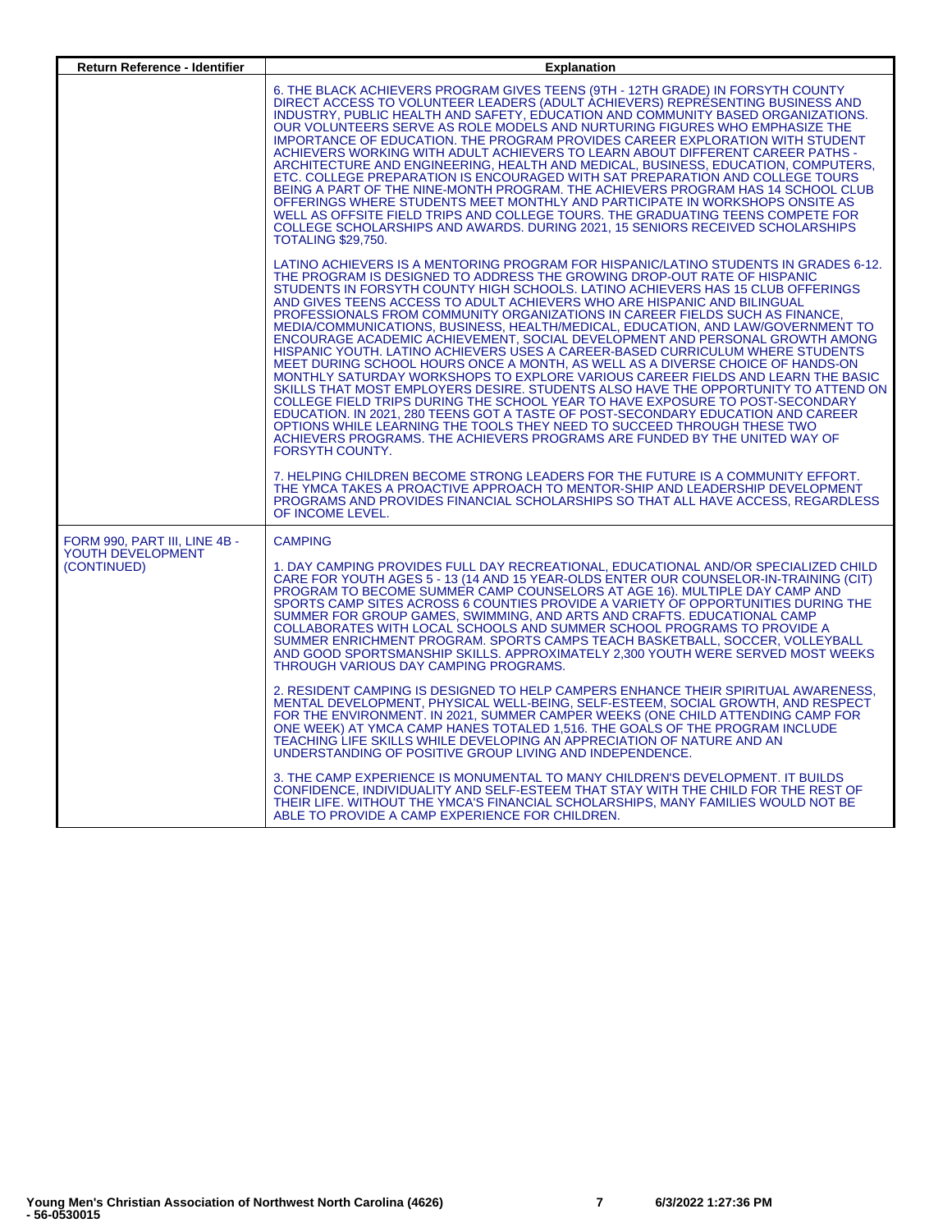| <b>Return Reference - Identifier</b>                              | <b>Explanation</b>                                                                                                                                                                                                                                                                                                                                                                                                                                                                                                                                                                                                                                                                                                                                                                                                                                                                                                                                                                                                                                                                                                                                                                                                                                                                                                                                                                                                                                           |
|-------------------------------------------------------------------|--------------------------------------------------------------------------------------------------------------------------------------------------------------------------------------------------------------------------------------------------------------------------------------------------------------------------------------------------------------------------------------------------------------------------------------------------------------------------------------------------------------------------------------------------------------------------------------------------------------------------------------------------------------------------------------------------------------------------------------------------------------------------------------------------------------------------------------------------------------------------------------------------------------------------------------------------------------------------------------------------------------------------------------------------------------------------------------------------------------------------------------------------------------------------------------------------------------------------------------------------------------------------------------------------------------------------------------------------------------------------------------------------------------------------------------------------------------|
|                                                                   | 6. THE BLACK ACHIEVERS PROGRAM GIVES TEENS (9TH - 12TH GRADE) IN FORSYTH COUNTY<br>DIRECT ACCESS TO VOLUNTEER LEADERS (ADULT ACHIEVERS) REPRESENTING BUSINESS AND<br>INDUSTRY, PUBLIC HEALTH AND SAFETY, EDUCATION AND COMMUNITY BASED ORGANIZATIONS.<br>OUR VOLUNTEERS SERVE AS ROLE MODELS AND NURTURING FIGURES WHO EMPHASIZE THE<br>IMPORTANCE OF EDUCATION. THE PROGRAM PROVIDES CAREER EXPLORATION WITH STUDENT<br>ACHIEVERS WORKING WITH ADULT ACHIEVERS TO LEARN ABOUT DIFFERENT CAREER PATHS -<br>ARCHITECTURE AND ENGINEERING, HEALTH AND MEDICAL, BUSINESS, EDUCATION, COMPUTERS,<br>ETC. COLLEGE PREPARATION IS ENCOURAGED WITH SAT PREPARATION AND COLLEGE TOURS<br>BEING A PART OF THE NINE-MONTH PROGRAM. THE ACHIEVERS PROGRAM HAS 14 SCHOOL CLUB<br>OFFERINGS WHERE STUDENTS MEET MONTHLY AND PARTICIPATE IN WORKSHOPS ONSITE AS<br>WELL AS OFFSITE FIELD TRIPS AND COLLEGE TOURS. THE GRADUATING TEENS COMPETE FOR<br>COLLEGE SCHOLARSHIPS AND AWARDS. DURING 2021, 15 SENIORS RECEIVED SCHOLARSHIPS<br><b>TOTALING \$29,750.</b>                                                                                                                                                                                                                                                                                                                                                                                                          |
|                                                                   | LATINO ACHIEVERS IS A MENTORING PROGRAM FOR HISPANIC/LATINO STUDENTS IN GRADES 6-12.<br>THE PROGRAM IS DESIGNED TO ADDRESS THE GROWING DROP-OUT RATE OF HISPANIC<br>STUDENTS IN FORSYTH COUNTY HIGH SCHOOLS. LATINO ACHIEVERS HAS 15 CLUB OFFERINGS<br>AND GIVES TEENS ACCESS TO ADULT ACHIEVERS WHO ARE HISPANIC AND BILINGUAL<br>PROFESSIONALS FROM COMMUNITY ORGANIZATIONS IN CAREER FIELDS SUCH AS FINANCE.<br>MEDIA/COMMUNICATIONS, BUSINESS, HEALTH/MEDICAL, EDUCATION, AND LAW/GOVERNMENT TO<br>ENCOURAGE ACADEMIC ACHIEVEMENT, SOCIAL DEVELOPMENT AND PERSONAL GROWTH AMONG<br>HISPANIC YOUTH. LATINO ACHIEVERS USES A CAREER-BASED CURRICULUM WHERE STUDENTS<br>MEET DURING SCHOOL HOURS ONCE A MONTH, AS WELL AS A DIVERSE CHOICE OF HANDS-ON<br>MONTHLY SATURDAY WORKSHOPS TO EXPLORE VARIOUS CAREER FIELDS AND LEARN THE BASIC<br>SKILLS THAT MOST EMPLOYERS DESIRE. STUDENTS ALSO HAVE THE OPPORTUNITY TO ATTEND ON<br>COLLEGE FIELD TRIPS DURING THE SCHOOL YEAR TO HAVE EXPOSURE TO POST-SECONDARY<br>EDUCATION. IN 2021, 280 TEENS GOT A TASTE OF POST-SECONDARY EDUCATION AND CAREER<br>OPTIONS WHILE LEARNING THE TOOLS THEY NEED TO SUCCEED THROUGH THESE TWO<br>ACHIEVERS PROGRAMS. THE ACHIEVERS PROGRAMS ARE FUNDED BY THE UNITED WAY OF<br><b>FORSYTH COUNTY.</b><br>7. HELPING CHILDREN BECOME STRONG LEADERS FOR THE FUTURE IS A COMMUNITY EFFORT.<br>THE YMCA TAKES A PROACTIVE APPROACH TO MENTOR-SHIP AND LEADERSHIP DEVELOPMENT |
|                                                                   | PROGRAMS AND PROVIDES FINANCIAL SCHOLARSHIPS SO THAT ALL HAVE ACCESS, REGARDLESS<br>OF INCOME LEVEL.                                                                                                                                                                                                                                                                                                                                                                                                                                                                                                                                                                                                                                                                                                                                                                                                                                                                                                                                                                                                                                                                                                                                                                                                                                                                                                                                                         |
| FORM 990, PART III, LINE 4B -<br>YOUTH DEVELOPMENT<br>(CONTINUED) | <b>CAMPING</b><br>1. DAY CAMPING PROVIDES FULL DAY RECREATIONAL, EDUCATIONAL AND/OR SPECIALIZED CHILD<br>CARE FOR YOUTH AGES 5 - 13 (14 AND 15 YEAR-OLDS ENTER OUR COUNSELOR-IN-TRAINING (CIT)<br>PROGRAM TO BECOME SUMMER CAMP COUNSELORS AT AGE 16). MULTIPLE DAY CAMP AND<br>SPORTS CAMP SITES ACROSS 6 COUNTIES PROVIDE A VARIETY OF OPPORTUNITIES DURING THE<br>SUMMER FOR GROUP GAMES, SWIMMING, AND ARTS AND CRAFTS. EDUCATIONAL CAMP<br>COLLABORATES WITH LOCAL SCHOOLS AND SUMMER SCHOOL PROGRAMS TO PROVIDE A<br>SUMMER ENRICHMENT PROGRAM. SPORTS CAMPS TEACH BASKETBALL, SOCCER, VOLLEYBALL<br>AND GOOD SPORTSMANSHIP SKILLS, APPROXIMATELY 2.300 YOUTH WERE SERVED MOST WEEKS<br>THROUGH VARIOUS DAY CAMPING PROGRAMS.<br>2. RESIDENT CAMPING IS DESIGNED TO HELP CAMPERS ENHANCE THEIR SPIRITUAL AWARENESS.<br>MENTAL DEVELOPMENT, PHYSICAL WELL-BEING, SELF-ESTEEM, SOCIAL GROWTH, AND RESPECT                                                                                                                                                                                                                                                                                                                                                                                                                                                                                                                                                |
|                                                                   | FOR THE ENVIRONMENT. IN 2021, SUMMER CAMPER WEEKS (ONE CHILD ATTENDING CAMP FOR<br>ONE WEEK) AT YMCA CAMP HANES TOTALED 1,516. THE GOALS OF THE PROGRAM INCLUDE<br>TEACHING LIFE SKILLS WHILE DEVELOPING AN APPRECIATION OF NATURE AND AN<br>UNDERSTANDING OF POSITIVE GROUP LIVING AND INDEPENDENCE.<br>3. THE CAMP EXPERIENCE IS MONUMENTAL TO MANY CHILDREN'S DEVELOPMENT. IT BUILDS<br>CONFIDENCE, INDIVIDUALITY AND SELF-ESTEEM THAT STAY WITH THE CHILD FOR THE REST OF                                                                                                                                                                                                                                                                                                                                                                                                                                                                                                                                                                                                                                                                                                                                                                                                                                                                                                                                                                                |
|                                                                   | THEIR LIFE. WITHOUT THE YMCA'S FINANCIAL SCHOLARSHIPS, MANY FAMILIES WOULD NOT BE<br>ABLE TO PROVIDE A CAMP EXPERIENCE FOR CHILDREN.                                                                                                                                                                                                                                                                                                                                                                                                                                                                                                                                                                                                                                                                                                                                                                                                                                                                                                                                                                                                                                                                                                                                                                                                                                                                                                                         |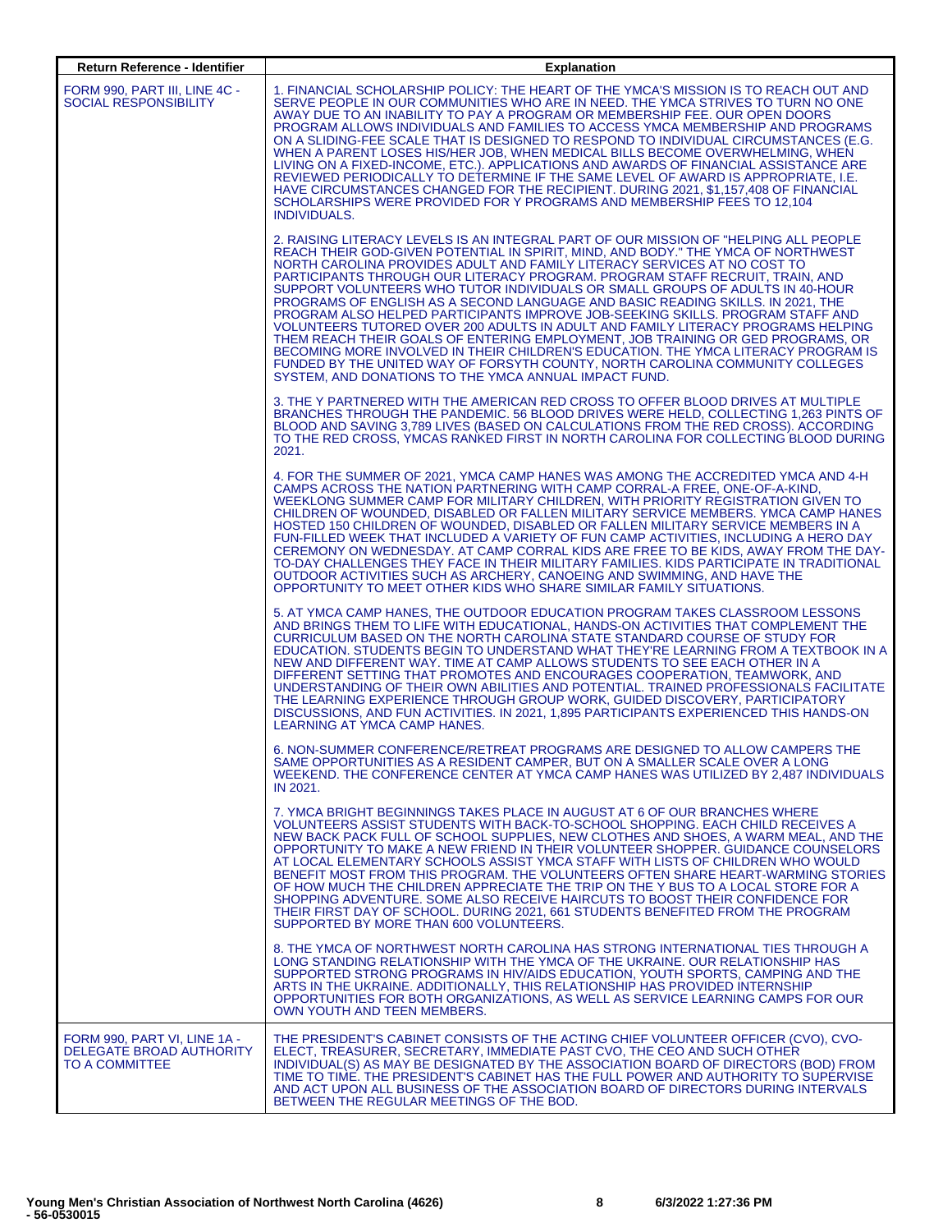| <b>Return Reference - Identifier</b>                                       | <b>Explanation</b>                                                                                                                                                                                                                                                                                                                                                                                                                                                                                                                                                                                                                                                                                                                                                                                                                                                                                                                                                                                 |
|----------------------------------------------------------------------------|----------------------------------------------------------------------------------------------------------------------------------------------------------------------------------------------------------------------------------------------------------------------------------------------------------------------------------------------------------------------------------------------------------------------------------------------------------------------------------------------------------------------------------------------------------------------------------------------------------------------------------------------------------------------------------------------------------------------------------------------------------------------------------------------------------------------------------------------------------------------------------------------------------------------------------------------------------------------------------------------------|
| FORM 990. PART III. LINE 4C -<br><b>SOCIAL RESPONSIBILITY</b>              | 1. FINANCIAL SCHOLARSHIP POLICY: THE HEART OF THE YMCA'S MISSION IS TO REACH OUT AND<br>SERVE PEOPLE IN OUR COMMUNITIES WHO ARE IN NEED. THE YMCA STRIVES TO TURN NO ONE<br>AWAY DUE TO AN INABILITY TO PAY A PROGRAM OR MEMBERSHIP FEE. OUR OPEN DOORS<br>PROGRAM ALLOWS INDIVIDUALS AND FAMILIES TO ACCESS YMCA MEMBERSHIP AND PROGRAMS<br>ON A SLIDING-FEE SCALE THAT IS DESIGNED TO RESPOND TO INDIVIDUAL CIRCUMSTANCES (E.G.<br>WHEN A PARENT LOSES HIS/HER JOB, WHEN MEDICAL BILLS BECOME OVERWHELMING, WHEN<br>LIVING ON A FIXED-INCOME, ETC.). APPLICATIONS AND AWARDS OF FINANCIAL ASSISTANCE ARE<br>REVIEWED PERIODICALLY TO DETERMINE IF THE SAME LEVEL OF AWARD IS APPROPRIATE, I.E.<br>HAVE CIRCUMSTANCES CHANGED FOR THE RECIPIENT. DURING 2021, \$1,157,408 OF FINANCIAL<br>SCHOLARSHIPS WERE PROVIDED FOR Y PROGRAMS AND MEMBERSHIP FEES TO 12.104<br><b>INDIVIDUALS.</b>                                                                                                          |
|                                                                            | 2. RAISING LITERACY LEVELS IS AN INTEGRAL PART OF OUR MISSION OF "HELPING ALL PEOPLE<br>REACH THEIR GOD-GIVEN POTENTIAL IN SPIRIT, MIND, AND BODY." THE YMCA OF NORTHWEST<br>NORTH CAROLINA PROVIDES ADULT AND FAMILY LITERACY SERVICES AT NO COST TO<br>PARTICIPANTS THROUGH OUR LITERACY PROGRAM, PROGRAM STAFF RECRUIT, TRAIN, AND<br>SUPPORT VOLUNTEERS WHO TUTOR INDIVIDUALS OR SMALL GROUPS OF ADULTS IN 40-HOUR<br>PROGRAMS OF ENGLISH AS A SECOND LANGUAGE AND BASIC READING SKILLS. IN 2021, THE<br>PROGRAM ALSO HELPED PARTICIPANTS IMPROVE JOB-SEEKING SKILLS. PROGRAM STAFF AND<br>VOLUNTEERS TUTORED OVER 200 ADULTS IN ADULT AND FAMILY LITERACY PROGRAMS HELPING<br>THEM REACH THEIR GOALS OF ENTERING EMPLOYMENT, JOB TRAINING OR GED PROGRAMS, OR<br>BECOMING MORE INVOLVED IN THEIR CHILDREN'S EDUCATION. THE YMCA LITERACY PROGRAM IS<br>FUNDED BY THE UNITED WAY OF FORSYTH COUNTY, NORTH CAROLINA COMMUNITY COLLEGES<br>SYSTEM, AND DONATIONS TO THE YMCA ANNUAL IMPACT FUND. |
|                                                                            | 3. THE Y PARTNERED WITH THE AMERICAN RED CROSS TO OFFER BLOOD DRIVES AT MULTIPLE<br>BRANCHES THROUGH THE PANDEMIC. 56 BLOOD DRIVES WERE HELD, COLLECTING 1,263 PINTS OF<br>BLOOD AND SAVING 3.789 LIVES (BASED ON CALCULATIONS FROM THE RED CROSS). ACCORDING<br>TO THE RED CROSS, YMCAS RANKED FIRST IN NORTH CAROLINA FOR COLLECTING BLOOD DURING<br>2021.                                                                                                                                                                                                                                                                                                                                                                                                                                                                                                                                                                                                                                       |
|                                                                            | 4. FOR THE SUMMER OF 2021, YMCA CAMP HANES WAS AMONG THE ACCREDITED YMCA AND 4-H<br>CAMPS ACROSS THE NATION PARTNERING WITH CAMP CORRAL-A FREE, ONE-OF-A-KIND,<br>WEEKLONG SUMMER CAMP FOR MILITARY CHILDREN, WITH PRIORITY REGISTRATION GIVEN TO<br>CHILDREN OF WOUNDED, DISABLED OR FALLEN MILITARY SERVICE MEMBERS. YMCA CAMP HANES<br>HOSTED 150 CHILDREN OF WOUNDED, DISABLED OR FALLEN MILITARY SERVICE MEMBERS IN A<br>FUN-FILLED WEEK THAT INCLUDED A VARIETY OF FUN CAMP ACTIVITIES, INCLUDING A HERO DAY<br>CEREMONY ON WEDNESDAY. AT CAMP CORRAL KIDS ARE FREE TO BE KIDS, AWAY FROM THE DAY-<br>TO-DAY CHALLENGES THEY FACE IN THEIR MILITARY FAMILIES. KIDS PARTICIPATE IN TRADITIONAL<br>OUTDOOR ACTIVITIES SUCH AS ARCHERY, CANOEING AND SWIMMING, AND HAVE THE<br>OPPORTUNITY TO MEET OTHER KIDS WHO SHARE SIMILAR FAMILY SITUATIONS.                                                                                                                                              |
|                                                                            | 5. AT YMCA CAMP HANES, THE OUTDOOR EDUCATION PROGRAM TAKES CLASSROOM LESSONS<br>AND BRINGS THEM TO LIFE WITH EDUCATIONAL, HANDS-ON ACTIVITIES THAT COMPLEMENT THE<br>CURRICULUM BASED ON THE NORTH CAROLINA STATE STANDARD COURSE OF STUDY FOR<br>EDUCATION. STUDENTS BEGIN TO UNDERSTAND WHAT THEY'RE LEARNING FROM A TEXTBOOK IN A<br>NEW AND DIFFERENT WAY. TIME AT CAMP ALLOWS STUDENTS TO SEE EACH OTHER IN A<br>DIFFERENT SETTING THAT PROMOTES AND ENCOURAGES COOPERATION, TEAMWORK, AND<br>UNDERSTANDING OF THEIR OWN ABILITIES AND POTENTIAL. TRAINED PROFESSIONALS FACILITATE<br>THE LEARNING EXPERIENCE THROUGH GROUP WORK, GUIDED DISCOVERY, PARTICIPATORY<br>DISCUSSIONS, AND FUN ACTIVITIES. IN 2021, 1,895 PARTICIPANTS EXPERIENCED THIS HANDS-ON<br>LEARNING AT YMCA CAMP HANES.                                                                                                                                                                                                   |
|                                                                            | 6. NON-SUMMER CONFERENCE/RETREAT PROGRAMS ARE DESIGNED TO ALLOW CAMPERS THE<br>SAME OPPORTUNITIES AS A RESIDENT CAMPER, BUT ON A SMALLER SCALE OVER A LONG<br>WEEKEND. THE CONFERENCE CENTER AT YMCA CAMP HANES WAS UTILIZED BY 2,487 INDIVIDUALS<br>IN 2021.                                                                                                                                                                                                                                                                                                                                                                                                                                                                                                                                                                                                                                                                                                                                      |
|                                                                            | 7. YMCA BRIGHT BEGINNINGS TAKES PLACE IN AUGUST AT 6 OF OUR BRANCHES WHERE<br>VOLUNTEERS ASSIST STUDENTS WITH BACK-TO-SCHOOL SHOPPING. EACH CHILD RECEIVES A<br>NEW BACK PACK FULL OF SCHOOL SUPPLIES. NEW CLOTHES AND SHOES. A WARM MEAL. AND THE<br>OPPORTUNITY TO MAKE A NEW FRIEND IN THEIR VOLUNTEER SHOPPER. GUIDANCE COUNSELORS<br>AT LOCAL ELEMENTARY SCHOOLS ASSIST YMCA STAFF WITH LISTS OF CHILDREN WHO WOULD<br>BENEFIT MOST FROM THIS PROGRAM. THE VOLUNTEERS OFTEN SHARE HEART-WARMING STORIES<br>OF HOW MUCH THE CHILDREN APPRECIATE THE TRIP ON THE Y BUS TO A LOCAL STORE FOR A<br>SHOPPING ADVENTURE. SOME ALSO RECEIVE HAIRCUTS TO BOOST THEIR CONFIDENCE FOR<br>THEIR FIRST DAY OF SCHOOL. DURING 2021. 661 STUDENTS BENEFITED FROM THE PROGRAM<br>SUPPORTED BY MORE THAN 600 VOLUNTEERS.                                                                                                                                                                                      |
|                                                                            | 8. THE YMCA OF NORTHWEST NORTH CAROLINA HAS STRONG INTERNATIONAL TIES THROUGH A<br>LONG STANDING RELATIONSHIP WITH THE YMCA OF THE UKRAINE. OUR RELATIONSHIP HAS<br>SUPPORTED STRONG PROGRAMS IN HIV/AIDS EDUCATION, YOUTH SPORTS, CAMPING AND THE<br>ARTS IN THE UKRAINE. ADDITIONALLY, THIS RELATIONSHIP HAS PROVIDED INTERNSHIP<br>OPPORTUNITIES FOR BOTH ORGANIZATIONS, AS WELL AS SERVICE LEARNING CAMPS FOR OUR<br>OWN YOUTH AND TEEN MEMBERS.                                                                                                                                                                                                                                                                                                                                                                                                                                                                                                                                               |
| FORM 990, PART VI, LINE 1A -<br>DELEGATE BROAD AUTHORITY<br>TO A COMMITTEE | THE PRESIDENT'S CABINET CONSISTS OF THE ACTING CHIEF VOLUNTEER OFFICER (CVO), CVO-<br>ELECT. TREASURER. SECRETARY. IMMEDIATE PAST CVO. THE CEO AND SUCH OTHER<br>INDIVIDUAL(S) AS MAY BE DESIGNATED BY THE ASSOCIATION BOARD OF DIRECTORS (BOD) FROM<br>TIME TO TIME. THE PRESIDENT'S CABINET HAS THE FULL POWER AND AUTHORITY TO SUPERVISE<br>AND ACT UPON ALL BUSINESS OF THE ASSOCIATION BOARD OF DIRECTORS DURING INTERVALS<br>BETWEEN THE REGULAR MEETINGS OF THE BOD.                                                                                                                                                                                                                                                                                                                                                                                                                                                                                                                        |